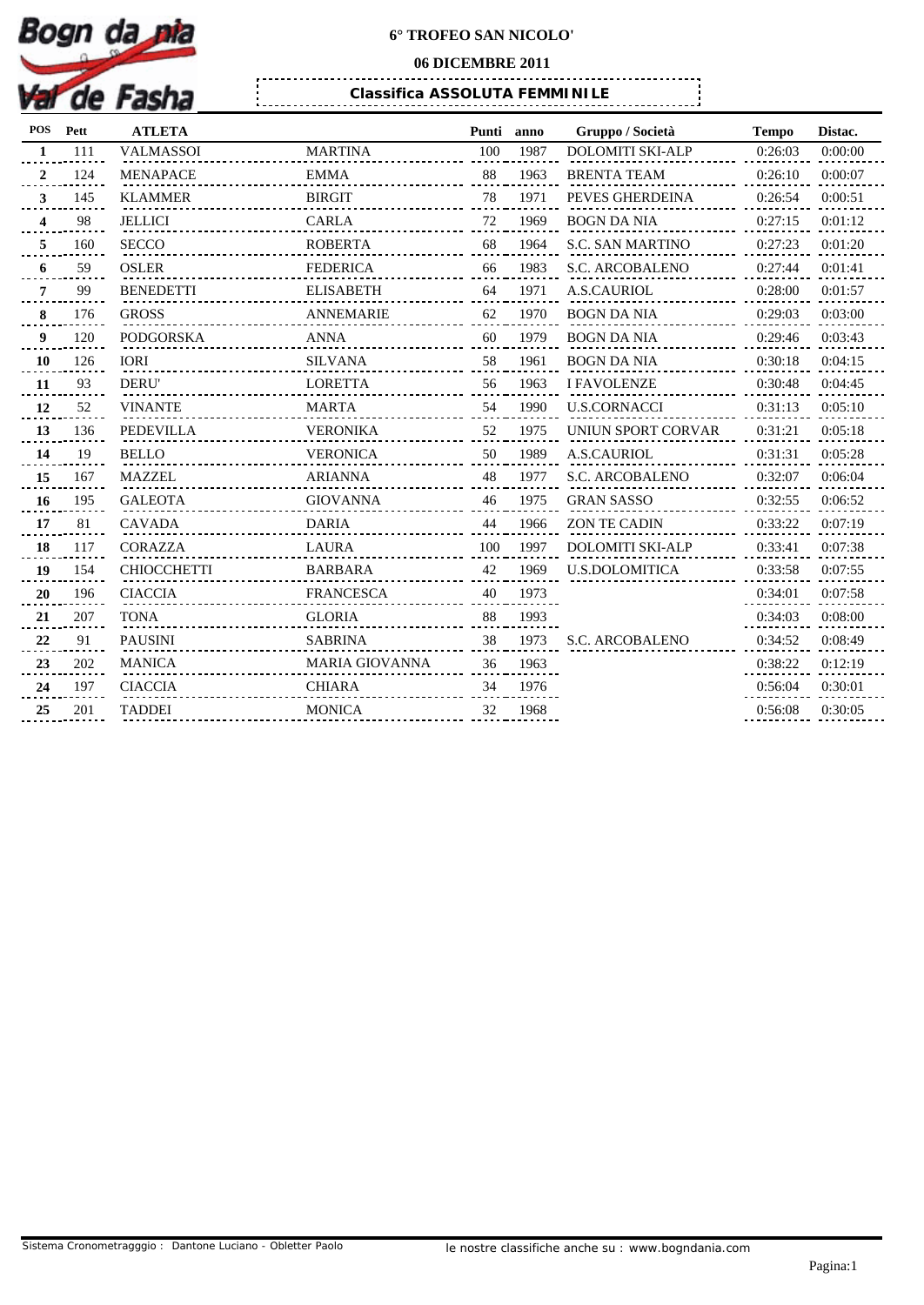

## **06 DICEMBRE 2011**

. . . . . . . . . . . .

*Classifica ASSOLUTA FEMMINILE*

| <b>POS</b>     | Pett | <b>ATLETA</b>      |                             | Punti | anno | Gruppo / Società        | <b>Tempo</b> | Distac. |
|----------------|------|--------------------|-----------------------------|-------|------|-------------------------|--------------|---------|
| $\mathbf{1}$   | 111  | <b>VALMASSOI</b>   | <b>MARTINA</b>              | 100   | 1987 | <b>DOLOMITI SKI-ALP</b> | 0:26:03      | 0:00:00 |
| $\overline{2}$ | 124  | <b>MENAPACE</b>    | <b>EMMA</b>                 | 88    | 1963 | <b>BRENTA TEAM</b>      | 0:26:10      | 0:00:07 |
| 3              | 145  | <b>KLAMMER</b>     | <b>BIRGIT</b>               | 78    | 1971 | PEVES GHERDEINA         | 0:26:54      | 0:00:51 |
| 4              | 98   | <b>JELLICI</b>     | CARLA                       | 72    | 1969 | <b>BOGN DA NIA</b>      | 0:27:15      | 0:01:12 |
| 5              | 160  | <b>SECCO</b>       | <b>ROBERTA</b>              | 68    | 1964 | <b>S.C. SAN MARTINO</b> | 0:27:23      | 0:01:20 |
| 6              | 59   | <b>OSLER</b>       | <b>FEDERICA</b>             | 66    | 1983 | <b>S.C. ARCOBALENO</b>  | 0:27:44      | 0:01:41 |
| 7              | 99   | <b>BENEDETTI</b>   | <b>ELISABETH</b>            | 64    | 1971 | <b>A.S.CAURIOL</b>      | 0:28:00      | 0:01:57 |
| 8              | 176  | <b>GROSS</b>       | ANNEMARIE                   | 62    | 1970 | BOGN DA NIA             | 0:29:03      | 0:03:00 |
| 9              | 120  | PODGORSKA          | ANNA                        | 60    | 1979 | BOGN DA NIA             | 0:29:46      | 0:03:43 |
| 10             | 126  | <b>IORI</b>        | <b>SILVANA</b>              | 58    | 1961 | <b>BOGN DA NIA</b>      | 0:30:18      | 0:04:15 |
| 11             | 93   | <b>DERU'</b>       | <b>LORETTA</b>              | 56    | 1963 | <b>I FAVOLENZE</b>      | 0:30:48      | 0:04:45 |
| 12             | 52   | <b>VINANTE</b>     | MARTA                       | 54    | 1990 | <b>U.S.CORNACCI</b>     | 0:31:13      | 0:05:10 |
| 13             | 136  | <b>PEDEVILLA</b>   | <b>VERONIKA</b>             | 52    | 1975 | UNIUN SPORT CORVAR      | 0:31:21      | 0:05:18 |
| 14             | 19   | <b>BELLO</b>       | VERONICA                    | 50    | 1989 | <b>A.S.CAURIOL</b>      | 0:31:31      | 0:05:28 |
| 15             | 167  | <b>MAZZEL</b>      | ARIANNA                     | 48    | 1977 | S.C. ARCOBALENO         | 0:32:07      | 0:06:04 |
| 16             | 195  | <b>GALEOTA</b>     | GIOVANNA<br>.<br>. <b>.</b> | 46    | 1975 | <b>GRAN SASSO</b>       | 0:32:55      | 0:06:52 |
| 17             | 81   | <b>CAVADA</b>      | <b>DARIA</b>                | 44    | 1966 | ZON TE CADIN            | 0:33:22      | 0:07:19 |
| 18             | 117  | <b>CORAZZA</b>     | LAURA                       | 100   | 1997 | <b>DOLOMITI SKI-ALP</b> | 0:33:41      | 0:07:38 |
| 19             | 154  | <b>CHIOCCHETTI</b> | <b>BARBARA</b>              | 42    | 1969 | <b>U.S.DOLOMITICA</b>   | 0:33:58      | 0:07:55 |
| 20             | 196  | <b>CIACCIA</b>     | FRANCESCA                   | 40    | 1973 |                         | 0:34:01      | 0:07:58 |
| 21             | 207  | <b>TONA</b>        | <b>GLORIA</b>               | 88    | 1993 |                         | 0:34:03      | 0:08:00 |
| 22             | 91   | <b>PAUSINI</b>     | <b>SABRINA</b>              | 38    | 1973 | <b>S.C. ARCOBALENO</b>  | 0:34:52      | 0:08:49 |
| 23             | 202  | <b>MANICA</b>      | MARIA GIOVANNA              | 36    | 1963 |                         | 0:38:22      | 0:12:19 |
| 24             | 197  | <b>CIACCIA</b>     | <b>CHIARA</b>               | 34    | 1976 |                         | 0:56:04      | 0:30:01 |
| 25             | 201  | <b>TADDEI</b>      | <b>MONICA</b>               | 32    | 1968 |                         | 0:56:08      | 0:30:05 |
|                |      |                    |                             |       |      |                         |              |         |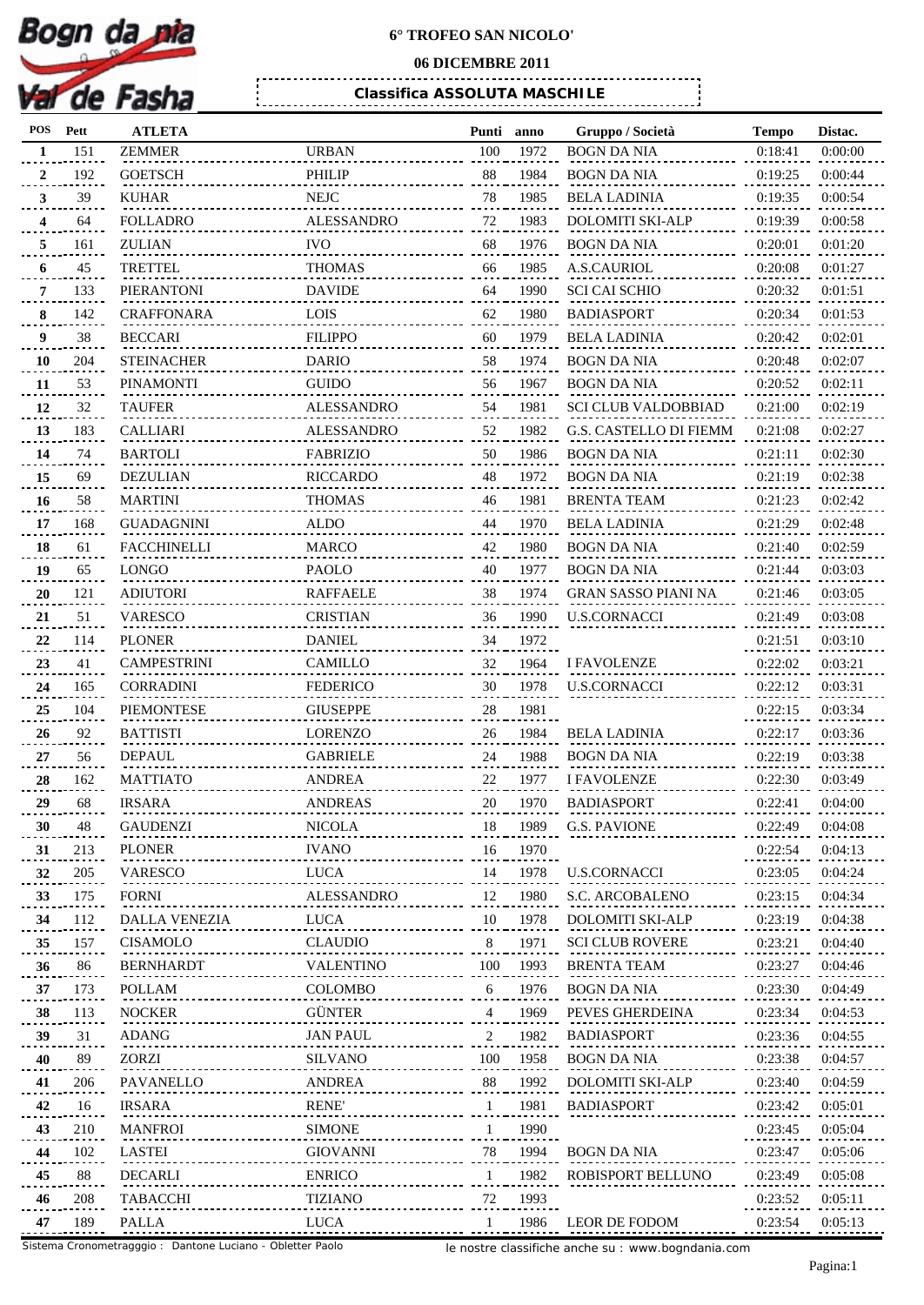

## **06 DICEMBRE 2011**

*Classifica ASSOLUTA MASCHILE*

| POS          | Pett | <b>ATLETA</b>      |                   | Punti        | anno | Gruppo / Società              | <b>Tempo</b> | Distac. |
|--------------|------|--------------------|-------------------|--------------|------|-------------------------------|--------------|---------|
| 1            | 151  | <b>ZEMMER</b>      | <b>URBAN</b>      | 100          | 1972 | <b>BOGN DA NIA</b>            | 0:18:41      | 0:00:00 |
| 2            | 192  | <b>GOETSCH</b>     | <b>PHILIP</b>     | 88           | 1984 | <b>BOGN DA NIA</b>            | 0:19:25      | 0:00:44 |
| $\mathbf{3}$ | 39   | <b>KUHAR</b>       | <b>NEJC</b>       | 78           | 1985 | <b>BELA LADINIA</b>           | 0:19:35      | 0:00:54 |
| 4            | 64   | <b>FOLLADRO</b>    | <b>ALESSANDRO</b> | 72           | 1983 | <b>DOLOMITI SKI-ALP</b>       | 0:19:39      | 0:00:58 |
| 5            | 161  | ZULIAN             | <b>IVO</b>        | 68           | 1976 | BOGN DA NIA                   | 0:20:01      | 0:01:20 |
| 6            | 45   | <b>TRETTEL</b>     | <b>THOMAS</b>     | 66           | 1985 | A.S.CAURIOL                   | 0:20:08      | 0:01:27 |
| 7            | 133  | PIERANTONI         | <b>DAVIDE</b>     | 64           | 1990 | <b>SCI CAI SCHIO</b>          | 0:20:32      | 0:01:51 |
| 8            | 142  | <b>CRAFFONARA</b>  | LOIS              | 62           | 1980 | <b>BADIASPORT</b>             | 0:20:34      | 0:01:53 |
| 9            | 38   | <b>BECCARI</b>     | <b>FILIPPO</b>    | 60           | 1979 | <b>BELA LADINIA</b>           | 0:20:42      | 0:02:01 |
| 10           | 204  | <b>STEINACHER</b>  | <b>DARIO</b>      | 58           | 1974 | <b>BOGN DA NIA</b>            | 0:20:48      | 0:02:07 |
|              | 53   | <b>PINAMONTI</b>   | <b>GUIDO</b>      | 56           | 1967 | BOGN DA NIA                   | 0:20:52      | 0:02:11 |
| 11           |      |                    |                   |              |      |                               |              |         |
| 12           | 32   | <b>TAUFER</b>      | <b>ALESSANDRO</b> | 54           | 1981 | <b>SCI CLUB VALDOBBIAD</b>    | 0:21:00      | 0:02:19 |
| 13           | 183  | <b>CALLIARI</b>    | <b>ALESSANDRO</b> | 52           | 1982 | <b>G.S. CASTELLO DI FIEMM</b> | 0:21:08      | 0:02:27 |
| 14           | 74   | <b>BARTOLI</b>     | <b>FABRIZIO</b>   | 50           | 1986 | <b>BOGN DA NIA</b>            | 0:21:11      | 0:02:30 |
| 15           | 69   | <b>DEZULIAN</b>    | RICCARDO          | 48           | 1972 | <b>BOGN DA NIA</b>            | 0:21:19      | 0:02:38 |
| 16           | 58   | <b>MARTINI</b>     | <b>THOMAS</b>     | 46           | 1981 | <b>BRENTA TEAM</b>            | 0:21:23      | 0:02:42 |
| 17           | 168  | <b>GUADAGNINI</b>  | ALDO              | 44           | 1970 | <b>BELA LADINIA</b>           | 0:21:29      | 0:02:48 |
| 18           | 61   | <b>FACCHINELLI</b> | <b>MARCO</b>      | 42           | 1980 | $\operatorname{BOGN}$ DA NIA  | 0:21:40      | 0:02:59 |
| 19           | 65   | <b>LONGO</b>       | PAOLO             | 40           | 1977 | BOGN DA NIA                   | 0:21:44      | 0:03:03 |
| 20           | 121  | <b>ADIUTORI</b>    | <b>RAFFAELE</b>   | 38           | 1974 | GRAN SASSO PIANI NA           | 0:21:46      | 0:03:05 |
| 21           | 51   | <b>VARESCO</b>     | <b>CRISTIAN</b>   | 36           | 1990 | <b>U.S.CORNACCI</b>           | 0:21:49      | 0:03:08 |
| 22           | 114  | <b>PLONER</b>      | <b>DANIEL</b>     | 34           | 1972 |                               | 0:21:51      | 0:03:10 |
| 23           | 41   | <b>CAMPESTRINI</b> | CAMILLO           | 32           | 1964 | <b>I FAVOLENZE</b>            | 0:22:02      | 0:03:21 |
| 24           | 165  | <b>CORRADINI</b>   | <b>FEDERICO</b>   | 30           | 1978 | <b>U.S.CORNACCI</b>           | 0:22:12      | 0:03:31 |
| 25           | 104  | PIEMONTESE         | <b>GIUSEPPE</b>   | 28           | 1981 |                               | 0:22:15      | 0:03:34 |
| 26           | 92   | <b>BATTISTI</b>    | <b>LORENZO</b>    | 26           | 1984 | <b>BELA LADINIA</b>           | 0:22:17      | 0:03:36 |
| 27           | 56   | <b>DEPAUL</b>      | <b>GABRIELE</b>   | 24           | 1988 | <b>BOGN DA NIA</b>            | 0:22:19      | 0:03:38 |
|              |      |                    |                   |              |      |                               |              |         |
| 28           | 162  | <b>MATTIATO</b>    | <b>ANDREA</b>     | 22           | 1977 | <b>I FAVOLENZE</b>            | 0:22:30      | 0:03:49 |
| 29           | 68   | <b>IRSARA</b>      | <b>ANDREAS</b>    | 20           | 1970 | <b>BADIASPORT</b>             | 0:22:41      | 0:04:00 |
| 30           | 48   | <b>GAUDENZI</b>    | <b>NICOLA</b>     | 18           | 1989 | <b>G.S. PAVIONE</b>           | 0:22:49      | 0:04:08 |
| 31           | 213  | <b>PLONER</b>      | <b>IVANO</b>      | 16           | 1970 |                               | 0:22:54      | 0:04:13 |
| 32           | 205  | <b>VARESCO</b>     | <b>LUCA</b>       | 14           | 1978 | <b>U.S.CORNACCI</b>           | 0:23:05      | 0:04:24 |
| 33           | 175  | <b>FORNI</b>       | ALESSANDRO        | 12           | 1980 | <b>S.C. ARCOBALENO</b>        | 0:23:15      | 0:04:34 |
| 34           | 112  | DALLA VENEZIA      | <b>LUCA</b>       | 10           | 1978 | <b>DOLOMITI SKI-ALP</b>       | 0:23:19      | 0:04:38 |
| 35           | 157  | <b>CISAMOLO</b>    | <b>CLAUDIO</b>    | 8            | 1971 | <b>SCI CLUB ROVERE</b>        | 0:23:21      | 0:04:40 |
| 36           | 86   | <b>BERNHARDT</b>   | VALENTINO         | 100          | 1993 | <b>BRENTA TEAM</b>            | 0:23:27      | 0:04:46 |
| 37           | 173  | POLLAM             | COLOMBO           | 6            | 1976 | <b>BOGN DA NIA</b>            | 0:23:30      | 0:04:49 |
| 38           | 113  | <b>NOCKER</b>      | <b>GÜNTER</b>     | 4            | 1969 | PEVES GHERDEINA               | 0:23:34      | 0:04:53 |
| 39           | 31   | ADANG              | <b>JAN PAUL</b>   | 2            | 1982 | <b>BADIASPORT</b>             | 0:23:36      | 0:04:55 |
| 40           | 89   | ZORZI              | <b>SILVANO</b>    | 100          | 1958 | <b>BOGN DA NIA</b>            | 0:23:38      | 0:04:57 |
| 41           | 206  | PAVANELLO          | ANDREA            | 88           | 1992 | <b>DOLOMITI SKI-ALP</b>       | 0:23:40      | 0:04:59 |
| 42           | 16   | <b>IRSARA</b>      | <b>RENE</b>       | $\mathbf{1}$ | 1981 | <b>BADIASPORT</b>             | 0:23:42      | 0:05:01 |
| 43           | 210  | <b>MANFROI</b>     | <b>SIMONE</b>     | 1            | 1990 |                               | 0:23:45      | 0:05:04 |
| 44           | 102  | <b>LASTEI</b>      | <b>GIOVANNI</b>   | 78           | 1994 | <b>BOGN DA NIA</b>            | 0:23:47      | 0:05:06 |
|              |      |                    |                   |              |      |                               |              |         |
| 45           | 88   | DECARLI            | <b>ENRICO</b>     | 1            | 1982 | ROBISPORT BELLUNO             | 0:23:49      | 0:05:08 |
| 46           | 208  | TABACCHI           | <b>TIZIANO</b>    | 72           | 1993 |                               | 0:23:52      | 0:05:11 |
| 47           | 189  | <b>PALLA</b>       | LUCA              | $\mathbf{1}$ | 1986 | LEOR DE FODOM                 | 0:23:54      | 0:05:13 |

le nostre classifiche anche su : www.bogndania.com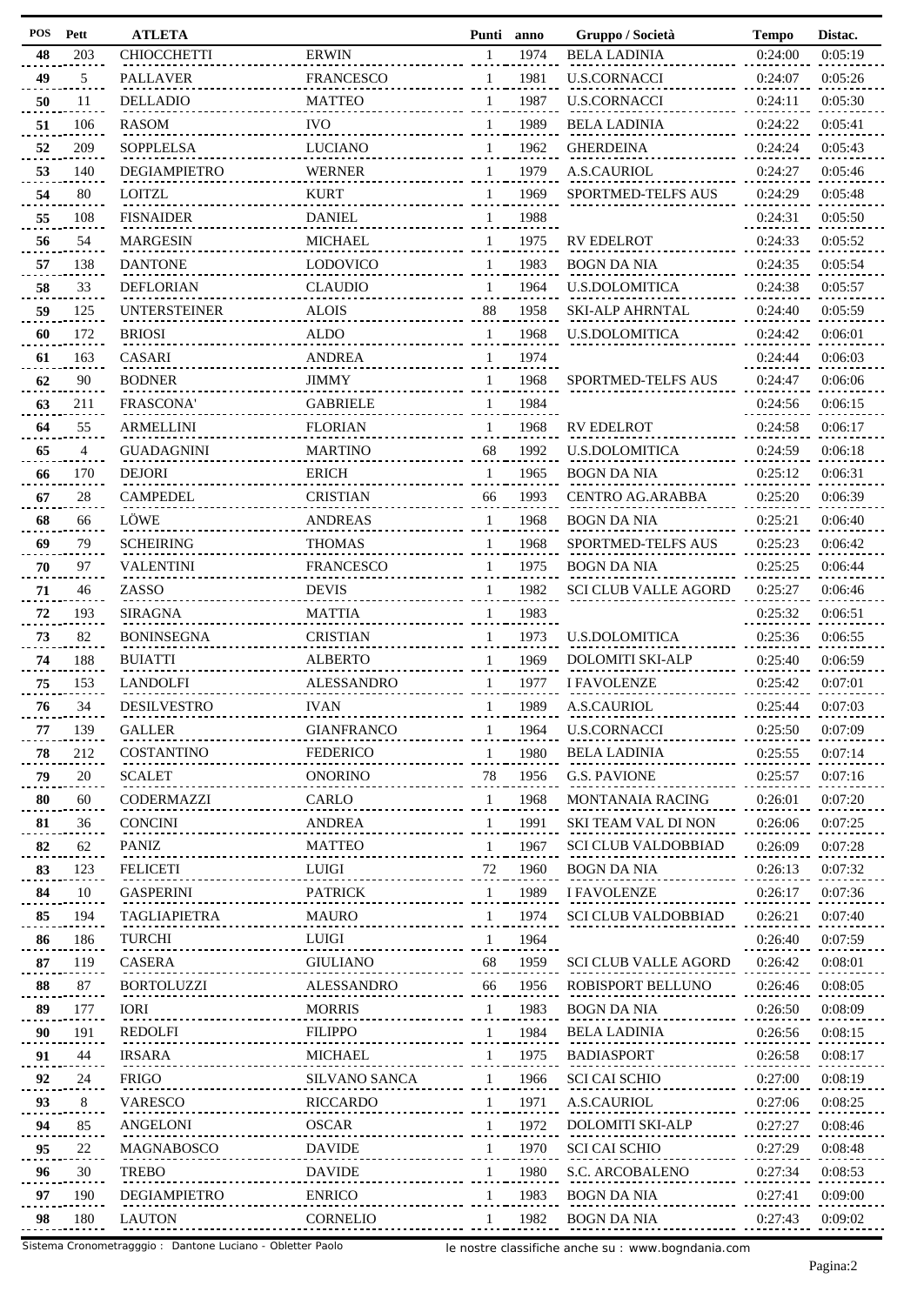| <b>POS</b> | Pett | <b>ATLETA</b>       |                      |              | Punti anno | Gruppo / Società            | <b>Tempo</b> | Distac. |
|------------|------|---------------------|----------------------|--------------|------------|-----------------------------|--------------|---------|
| 48         | 203  | <b>CHIOCCHETTI</b>  | <b>ERWIN</b>         | $\mathbf{1}$ | 1974       | <b>BELA LADINIA</b>         | 0:24:00      | 0:05:19 |
| 49         | 5    | <b>PALLAVER</b>     | <b>FRANCESCO</b>     | 1            | 1981       | <b>U.S.CORNACCI</b>         | 0:24:07      | 0:05:26 |
| 50         | 11   | <b>DELLADIO</b>     | <b>MATTEO</b>        | $\mathbf{1}$ | 1987       | <b>U.S.CORNACCI</b>         | 0:24:11      | 0:05:30 |
| 51         | 106  | <b>RASOM</b>        | <b>IVO</b>           |              | 1989       | <b>BELA LADINIA</b>         | 0:24:22      | 0:05:41 |
| 52         | 209  | <b>SOPPLELSA</b>    | <b>LUCIANO</b>       | $\mathbf{1}$ | 1962       | <b>GHERDEINA</b>            | 0:24:24      | 0:05:43 |
| 53         | 140  | DEGIAMPIETRO        | <b>WERNER</b>        | 1            | 1979       | A.S.CAURIOL                 | 0:24:27      | 0:05:46 |
| 54         | 80   | <b>LOITZL</b>       | <b>KURT</b>          | $\mathbf{1}$ | 1969       | SPORTMED-TELFS AUS          | 0:24:29      | 0:05:48 |
| 55         | 108  | <b>FISNAIDER</b>    | <b>DANIEL</b>        |              | 1988       |                             | 0:24:31      | 0:05:50 |
| 56         | 54   | <b>MARGESIN</b>     | <b>MICHAEL</b>       | 1            | 1975       | <b>RV EDELROT</b>           | 0:24:33      | 0:05:52 |
|            | 138  | <b>DANTONE</b>      | <b>LODOVICO</b>      | 1            | 1983       | <b>BOGN DA NIA</b>          | 0:24:35      | 0:05:54 |
| 57         |      | <b>DEFLORIAN</b>    | <b>CLAUDIO</b>       |              | 1964       | <b>U.S.DOLOMITICA</b>       | 0:24:38      | 0:05:57 |
| 58         | 33   |                     |                      | 1            |            |                             |              |         |
| 59         | 125  | <b>UNTERSTEINER</b> | <b>ALOIS</b>         | 88           | 1958       | <b>SKI-ALP AHRNTAL</b>      | 0:24:40      | 0:05:59 |
| 60         | 172  | <b>BRIOSI</b>       | <b>ALDO</b>          | 1            | 1968       | <b>U.S.DOLOMITICA</b>       | 0:24:42      | 0:06:01 |
| 61         | 163  | <b>CASARI</b>       | <b>ANDREA</b>        | 1            | 1974       |                             | 0:24:44      | 0:06:03 |
| 62         | 90   | <b>BODNER</b>       | <b>JIMMY</b>         | $\mathbf{1}$ | 1968       | <b>SPORTMED-TELFS AUS</b>   | 0:24:47      | 0:06:06 |
| 63         | 211  | FRASCONA'           | <b>GABRIELE</b>      |              | 1984       |                             | 0:24:56      | 0:06:15 |
| 64         | 55   | <b>ARMELLINI</b>    | <b>FLORIAN</b>       | 1            | 1968       | <b>RV EDELROT</b>           | 0:24:58      | 0:06:17 |
| 65         | 4    | <b>GUADAGNINI</b>   | <b>MARTINO</b>       | 68           | 1992       | <b>U.S.DOLOMITICA</b>       | 0:24:59      | 0:06:18 |
| 66         | 170  | <b>DEJORI</b>       | <b>ERICH</b>         | 1            | 1965       | <b>BOGN DA NIA</b>          | 0:25:12      | 0:06:31 |
| 67         | 28   | <b>CAMPEDEL</b>     | <b>CRISTIAN</b>      | 66           | 1993       | <b>CENTRO AG.ARABBA</b>     | 0:25:20      | 0:06:39 |
| 68         | 66   | LÖWE                | <b>ANDREAS</b>       | 1            | 1968       | <b>BOGN DA NIA</b>          | 0:25:21      | 0:06:40 |
| 69         | 79   | <b>SCHEIRING</b>    | <b>THOMAS</b>        | 1            | 1968       | SPORTMED-TELFS AUS          | 0:25:23      | 0:06:42 |
| 70         | 97   | <b>VALENTINI</b>    | <b>FRANCESCO</b>     | 1            | 1975       | <b>BOGN DA NIA</b>          | 0:25:25      | 0:06:44 |
| 71         | 46   | ZASSO               | <b>DEVIS</b>         |              | 1982       | <b>SCI CLUB VALLE AGORD</b> | 0:25:27      | 0:06:46 |
| 72         | 193  | <b>SIRAGNA</b>      | <b>MATTIA</b>        | 1            | 1983       |                             | 0:25:32      | 0:06:51 |
| 73         | 82   | <b>BONINSEGNA</b>   | <b>CRISTIAN</b>      |              | 1973       | <b>U.S.DOLOMITICA</b>       | 0:25:36      | 0:06:55 |
| 74         | 188  | <b>BUIATTI</b>      | <b>ALBERTO</b>       | 1            | 1969       | <b>DOLOMITI SKI-ALP</b>     | 0:25:40      | 0:06:59 |
| 75         | 153  | <b>LANDOLFI</b>     | <b>ALESSANDRO</b>    |              | 1977       | <b>I FAVOLENZE</b>          | 0:25:42      | 0:07:01 |
| 76         | 34   | <b>DESILVESTRO</b>  | <b>IVAN</b>          | 1            | 1989       | A.S.CAURIOL                 | 0:25:44      | 0:07:03 |
| 77         | 139  | <b>GALLER</b>       | <b>GIANFRANCO</b>    |              | 1964       | <b>U.S.CORNACCI</b>         | 0:25:50      | 0:07:09 |
| 78         | 212  | COSTANTINO          | <b>FEDERICO</b>      | 1            | 1980       | <b>BELA LADINIA</b>         | 0:25:55      | 0:07:14 |
| 79         | 20   | <b>SCALET</b>       | <b>ONORINO</b>       | 78           | 1956       | <b>G.S. PAVIONE</b>         | 0:25:57      | 0:07:16 |
| 80         | 60   | CODERMAZZI          | CARLO                | 1            | 1968       | <b>MONTANAIA RACING</b>     | 0:26:01      | 0:07:20 |
|            | 36   | <b>CONCINI</b>      | <b>ANDREA</b>        |              | 1991       | <b>SKI TEAM VAL DI NON</b>  | 0:26:06      | 0:07:25 |
| 81<br>82   | 62   | PANIZ               | <b>MATTEO</b>        | 1            | 1967       | <b>SCI CLUB VALDOBBIAD</b>  | 0:26:09      | 0:07:28 |
|            |      |                     |                      |              |            |                             |              |         |
| 83         | 123  | <b>FELICETI</b>     | LUIGI                | 72           | 1960       | <b>BOGN DA NIA</b>          | 0:26:13      | 0:07:32 |
| 84         | 10   | <b>GASPERINI</b>    | <b>PATRICK</b>       | 1            | 1989       | <b>I FAVOLENZE</b>          | 0:26:17      | 0:07:36 |
| 85         | 194  | <b>TAGLIAPIETRA</b> | <b>MAURO</b>         |              | 1974       | <b>SCI CLUB VALDOBBIAD</b>  | 0:26:21      | 0:07:40 |
| 86         | 186  | TURCHI              | LUIGI                | 1            | 1964       |                             | 0:26:40      | 0:07:59 |
| 87         | 119  | <b>CASERA</b>       | <b>GIULIANO</b>      | 68           | 1959       | <b>SCI CLUB VALLE AGORD</b> | 0:26:42      | 0:08:01 |
| 88         | 87   | <b>BORTOLUZZI</b>   | ALESSANDRO           | 66           | 1956       | ROBISPORT BELLUNO           | 0:26:46      | 0:08:05 |
| 89         | 177  | IORI                | <b>MORRIS</b>        | 1            | 1983       | <b>BOGN DA NIA</b>          | 0:26:50      | 0:08:09 |
| 90         | 191  | REDOLFI             | <b>FILIPPO</b>       | 1            | 1984       | <b>BELA LADINIA</b>         | 0:26:56      | 0:08:15 |
| 91         | 44   | IRSARA              | <b>MICHAEL</b>       | 1            | 1975       | <b>BADIASPORT</b>           | 0:26:58      | 0:08:17 |
| 92         | 24   | <b>FRIGO</b>        | <b>SILVANO SANCA</b> | $\mathbf{1}$ | 1966       | <b>SCI CAI SCHIO</b>        | 0:27:00      | 0:08:19 |
| 93         | 8    | VARESCO             | <b>RICCARDO</b>      |              | 1971       | A.S.CAURIOL                 | 0:27:06      | 0:08:25 |
| 94         | 85   | ANGELONI            | <b>OSCAR</b>         | 1            | 1972       | <b>DOLOMITI SKI-ALP</b>     | 0:27:27      | 0:08:46 |
| 95         | 22   | MAGNABOSCO          | <b>DAVIDE</b>        | 1            | 1970       | <b>SCI CAI SCHIO</b>        | 0:27:29      | 0:08:48 |
| 96         | 30   | <b>TREBO</b>        | <b>DAVIDE</b>        | 1            | 1980       | S.C. ARCOBALENO             | 0:27:34      | 0:08:53 |
| 97         | 190  | DEGIAMPIETRO        | <b>ENRICO</b>        |              | 1983       | <b>BOGN DA NIA</b>          | 0:27:41      | 0:09:00 |
| 98         | 180  | <b>LAUTON</b>       | <b>CORNELIO</b>      |              | 1982       | <b>BOGN DA NIA</b>          | 0:27:43      | 0:09:02 |
|            |      |                     |                      |              |            |                             |              |         |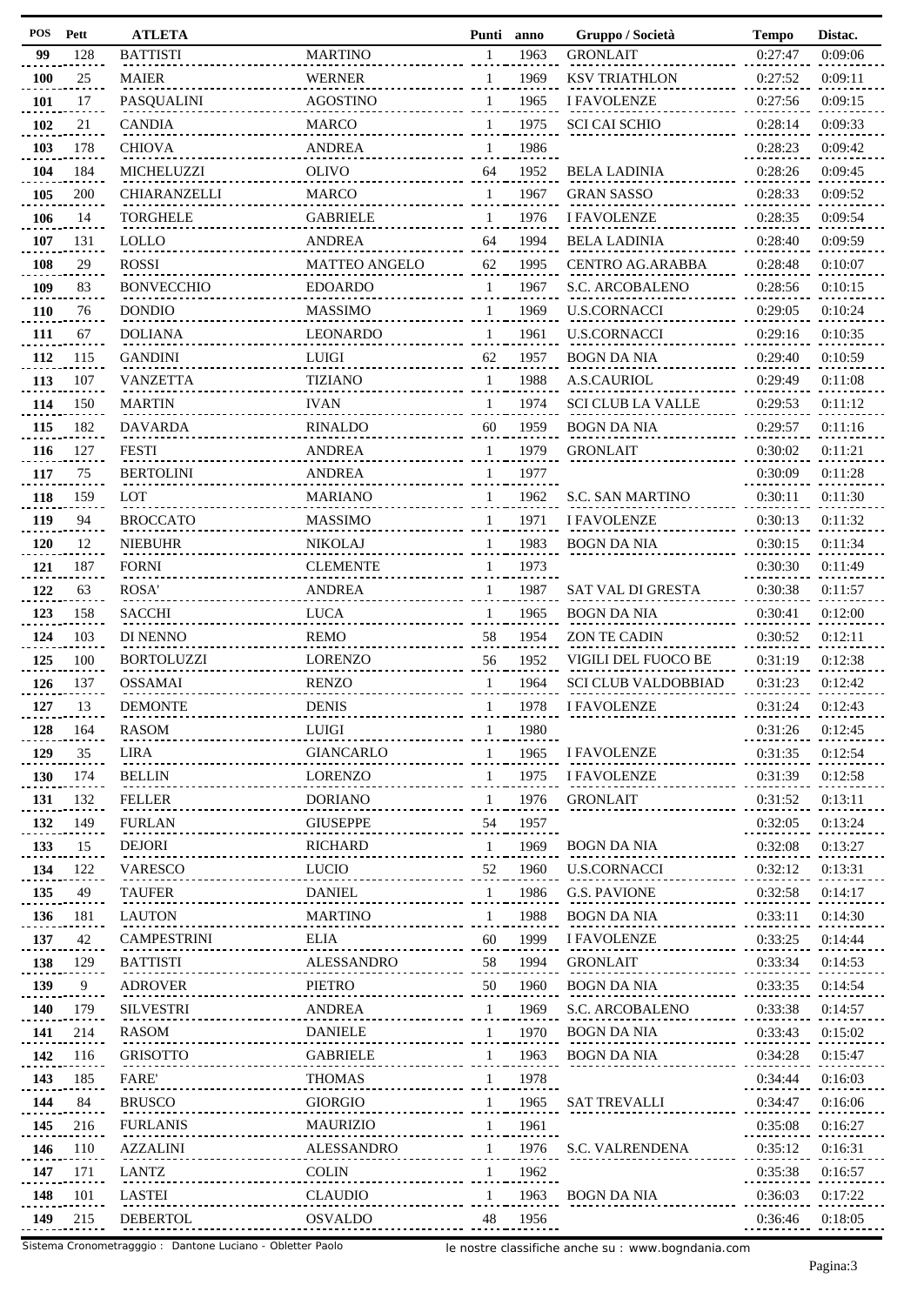| Pett | <b>ATLETA</b>                                                                                                                                              |                                                                                                                                                                                                                                                                                                                                                                                               | Punti                                                                                                                                                                                                                                                                                                                                                                                                  | anno                                                                                                                                             | Gruppo / Società                                                                                                                                                                             | <b>Tempo</b>                                                                                                                                                                                                                                                                                                                                                                                                                         | Distac.                                                                                                                                                                                                                                                                                    |
|------|------------------------------------------------------------------------------------------------------------------------------------------------------------|-----------------------------------------------------------------------------------------------------------------------------------------------------------------------------------------------------------------------------------------------------------------------------------------------------------------------------------------------------------------------------------------------|--------------------------------------------------------------------------------------------------------------------------------------------------------------------------------------------------------------------------------------------------------------------------------------------------------------------------------------------------------------------------------------------------------|--------------------------------------------------------------------------------------------------------------------------------------------------|----------------------------------------------------------------------------------------------------------------------------------------------------------------------------------------------|--------------------------------------------------------------------------------------------------------------------------------------------------------------------------------------------------------------------------------------------------------------------------------------------------------------------------------------------------------------------------------------------------------------------------------------|--------------------------------------------------------------------------------------------------------------------------------------------------------------------------------------------------------------------------------------------------------------------------------------------|
| 128  | <b>BATTISTI</b>                                                                                                                                            | <b>MARTINO</b>                                                                                                                                                                                                                                                                                                                                                                                | 1                                                                                                                                                                                                                                                                                                                                                                                                      | 1963                                                                                                                                             | <b>GRONLAIT</b>                                                                                                                                                                              | 0:27:47                                                                                                                                                                                                                                                                                                                                                                                                                              | 0:09:06                                                                                                                                                                                                                                                                                    |
| 25   | <b>MAIER</b>                                                                                                                                               | <b>WERNER</b>                                                                                                                                                                                                                                                                                                                                                                                 | 1                                                                                                                                                                                                                                                                                                                                                                                                      | 1969                                                                                                                                             | <b>KSV TRIATHLON</b>                                                                                                                                                                         | 0:27:52                                                                                                                                                                                                                                                                                                                                                                                                                              | 0:09:11                                                                                                                                                                                                                                                                                    |
| 17   | PASQUALINI                                                                                                                                                 | <b>AGOSTINO</b>                                                                                                                                                                                                                                                                                                                                                                               | 1                                                                                                                                                                                                                                                                                                                                                                                                      | 1965                                                                                                                                             | <b>I FAVOLENZE</b>                                                                                                                                                                           | 0:27:56                                                                                                                                                                                                                                                                                                                                                                                                                              | 0:09:15                                                                                                                                                                                                                                                                                    |
| 21   | <b>CANDIA</b>                                                                                                                                              | <b>MARCO</b>                                                                                                                                                                                                                                                                                                                                                                                  | 1                                                                                                                                                                                                                                                                                                                                                                                                      | 1975                                                                                                                                             | <b>SCI CAI SCHIO</b>                                                                                                                                                                         | 0:28:14                                                                                                                                                                                                                                                                                                                                                                                                                              | 0:09:33                                                                                                                                                                                                                                                                                    |
| 178  | <b>CHIOVA</b>                                                                                                                                              | ANDREA                                                                                                                                                                                                                                                                                                                                                                                        | 1                                                                                                                                                                                                                                                                                                                                                                                                      | 1986                                                                                                                                             |                                                                                                                                                                                              | 0:28:23                                                                                                                                                                                                                                                                                                                                                                                                                              | 0:09:42                                                                                                                                                                                                                                                                                    |
| 184  | MICHELUZZI                                                                                                                                                 | <b>OLIVO</b>                                                                                                                                                                                                                                                                                                                                                                                  | 64                                                                                                                                                                                                                                                                                                                                                                                                     | 1952                                                                                                                                             | <b>BELA LADINIA</b>                                                                                                                                                                          | 0:28:26                                                                                                                                                                                                                                                                                                                                                                                                                              | 0:09:45                                                                                                                                                                                                                                                                                    |
| 200  | CHIARANZELLI                                                                                                                                               | <b>MARCO</b>                                                                                                                                                                                                                                                                                                                                                                                  | 1                                                                                                                                                                                                                                                                                                                                                                                                      | 1967                                                                                                                                             | <b>GRAN SASSO</b>                                                                                                                                                                            | 0:28:33                                                                                                                                                                                                                                                                                                                                                                                                                              | 0:09:52                                                                                                                                                                                                                                                                                    |
| 14   | <b>TORGHELE</b>                                                                                                                                            | <b>GABRIELE</b>                                                                                                                                                                                                                                                                                                                                                                               | 1                                                                                                                                                                                                                                                                                                                                                                                                      |                                                                                                                                                  |                                                                                                                                                                                              |                                                                                                                                                                                                                                                                                                                                                                                                                                      | 0:09:54                                                                                                                                                                                                                                                                                    |
|      | <b>LOLLO</b>                                                                                                                                               |                                                                                                                                                                                                                                                                                                                                                                                               | 64                                                                                                                                                                                                                                                                                                                                                                                                     | 1994                                                                                                                                             |                                                                                                                                                                                              |                                                                                                                                                                                                                                                                                                                                                                                                                                      | 0:09:59                                                                                                                                                                                                                                                                                    |
|      |                                                                                                                                                            |                                                                                                                                                                                                                                                                                                                                                                                               |                                                                                                                                                                                                                                                                                                                                                                                                        |                                                                                                                                                  |                                                                                                                                                                                              |                                                                                                                                                                                                                                                                                                                                                                                                                                      | 0:10:07                                                                                                                                                                                                                                                                                    |
|      |                                                                                                                                                            |                                                                                                                                                                                                                                                                                                                                                                                               | 1                                                                                                                                                                                                                                                                                                                                                                                                      |                                                                                                                                                  |                                                                                                                                                                                              |                                                                                                                                                                                                                                                                                                                                                                                                                                      | 0:10:15                                                                                                                                                                                                                                                                                    |
|      |                                                                                                                                                            |                                                                                                                                                                                                                                                                                                                                                                                               |                                                                                                                                                                                                                                                                                                                                                                                                        |                                                                                                                                                  |                                                                                                                                                                                              |                                                                                                                                                                                                                                                                                                                                                                                                                                      | 0:10:24                                                                                                                                                                                                                                                                                    |
|      |                                                                                                                                                            |                                                                                                                                                                                                                                                                                                                                                                                               |                                                                                                                                                                                                                                                                                                                                                                                                        |                                                                                                                                                  |                                                                                                                                                                                              |                                                                                                                                                                                                                                                                                                                                                                                                                                      | 0:10:35                                                                                                                                                                                                                                                                                    |
|      |                                                                                                                                                            |                                                                                                                                                                                                                                                                                                                                                                                               |                                                                                                                                                                                                                                                                                                                                                                                                        |                                                                                                                                                  |                                                                                                                                                                                              |                                                                                                                                                                                                                                                                                                                                                                                                                                      | 0:10:59                                                                                                                                                                                                                                                                                    |
|      |                                                                                                                                                            |                                                                                                                                                                                                                                                                                                                                                                                               |                                                                                                                                                                                                                                                                                                                                                                                                        |                                                                                                                                                  |                                                                                                                                                                                              |                                                                                                                                                                                                                                                                                                                                                                                                                                      | 0:11:08                                                                                                                                                                                                                                                                                    |
|      |                                                                                                                                                            |                                                                                                                                                                                                                                                                                                                                                                                               |                                                                                                                                                                                                                                                                                                                                                                                                        |                                                                                                                                                  |                                                                                                                                                                                              |                                                                                                                                                                                                                                                                                                                                                                                                                                      | 0:11:12                                                                                                                                                                                                                                                                                    |
|      |                                                                                                                                                            |                                                                                                                                                                                                                                                                                                                                                                                               |                                                                                                                                                                                                                                                                                                                                                                                                        |                                                                                                                                                  |                                                                                                                                                                                              |                                                                                                                                                                                                                                                                                                                                                                                                                                      | 0:11:16                                                                                                                                                                                                                                                                                    |
|      |                                                                                                                                                            |                                                                                                                                                                                                                                                                                                                                                                                               |                                                                                                                                                                                                                                                                                                                                                                                                        |                                                                                                                                                  |                                                                                                                                                                                              |                                                                                                                                                                                                                                                                                                                                                                                                                                      |                                                                                                                                                                                                                                                                                            |
|      |                                                                                                                                                            |                                                                                                                                                                                                                                                                                                                                                                                               |                                                                                                                                                                                                                                                                                                                                                                                                        |                                                                                                                                                  |                                                                                                                                                                                              |                                                                                                                                                                                                                                                                                                                                                                                                                                      | 0:11:21                                                                                                                                                                                                                                                                                    |
|      |                                                                                                                                                            |                                                                                                                                                                                                                                                                                                                                                                                               |                                                                                                                                                                                                                                                                                                                                                                                                        |                                                                                                                                                  |                                                                                                                                                                                              |                                                                                                                                                                                                                                                                                                                                                                                                                                      | 0:11:28                                                                                                                                                                                                                                                                                    |
|      |                                                                                                                                                            |                                                                                                                                                                                                                                                                                                                                                                                               |                                                                                                                                                                                                                                                                                                                                                                                                        |                                                                                                                                                  |                                                                                                                                                                                              |                                                                                                                                                                                                                                                                                                                                                                                                                                      | 0:11:30                                                                                                                                                                                                                                                                                    |
|      |                                                                                                                                                            |                                                                                                                                                                                                                                                                                                                                                                                               |                                                                                                                                                                                                                                                                                                                                                                                                        |                                                                                                                                                  |                                                                                                                                                                                              |                                                                                                                                                                                                                                                                                                                                                                                                                                      | 0:11:32                                                                                                                                                                                                                                                                                    |
|      |                                                                                                                                                            |                                                                                                                                                                                                                                                                                                                                                                                               |                                                                                                                                                                                                                                                                                                                                                                                                        |                                                                                                                                                  |                                                                                                                                                                                              |                                                                                                                                                                                                                                                                                                                                                                                                                                      | 0:11:34                                                                                                                                                                                                                                                                                    |
|      |                                                                                                                                                            |                                                                                                                                                                                                                                                                                                                                                                                               | 1                                                                                                                                                                                                                                                                                                                                                                                                      |                                                                                                                                                  |                                                                                                                                                                                              |                                                                                                                                                                                                                                                                                                                                                                                                                                      | 0:11:49                                                                                                                                                                                                                                                                                    |
| 63   |                                                                                                                                                            | <b>ANDREA</b>                                                                                                                                                                                                                                                                                                                                                                                 | 1                                                                                                                                                                                                                                                                                                                                                                                                      | 1987                                                                                                                                             | <b>SAT VAL DI GRESTA</b>                                                                                                                                                                     |                                                                                                                                                                                                                                                                                                                                                                                                                                      | 0:11:57                                                                                                                                                                                                                                                                                    |
| 158  | <b>SACCHI</b>                                                                                                                                              | <b>LUCA</b>                                                                                                                                                                                                                                                                                                                                                                                   | 1                                                                                                                                                                                                                                                                                                                                                                                                      | 1965                                                                                                                                             | <b>BOGN DA NIA</b>                                                                                                                                                                           | 0:30:41                                                                                                                                                                                                                                                                                                                                                                                                                              | 0:12:00                                                                                                                                                                                                                                                                                    |
| 103  | DI NENNO                                                                                                                                                   | <b>REMO</b>                                                                                                                                                                                                                                                                                                                                                                                   | 58                                                                                                                                                                                                                                                                                                                                                                                                     | 1954                                                                                                                                             | <b>ZON TE CADIN</b>                                                                                                                                                                          | 0:30:52                                                                                                                                                                                                                                                                                                                                                                                                                              | 0:12:11                                                                                                                                                                                                                                                                                    |
| 100  | <b>BORTOLUZZI</b>                                                                                                                                          | <b>LORENZO</b>                                                                                                                                                                                                                                                                                                                                                                                | 56                                                                                                                                                                                                                                                                                                                                                                                                     | 1952                                                                                                                                             | VIGILI DEL FUOCO BE                                                                                                                                                                          | 0:31:19                                                                                                                                                                                                                                                                                                                                                                                                                              | 0:12:38                                                                                                                                                                                                                                                                                    |
| 137  | <b>OSSAMAI</b>                                                                                                                                             | <b>RENZO</b>                                                                                                                                                                                                                                                                                                                                                                                  | 1                                                                                                                                                                                                                                                                                                                                                                                                      | 1964                                                                                                                                             | <b>SCI CLUB VALDOBBIAD</b>                                                                                                                                                                   | 0:31:23                                                                                                                                                                                                                                                                                                                                                                                                                              | 0:12:42                                                                                                                                                                                                                                                                                    |
| 13   | <b>DEMONTE</b>                                                                                                                                             | <b>DENIS</b>                                                                                                                                                                                                                                                                                                                                                                                  | 1                                                                                                                                                                                                                                                                                                                                                                                                      | 1978                                                                                                                                             | <b>I FAVOLENZE</b>                                                                                                                                                                           | 0:31:24                                                                                                                                                                                                                                                                                                                                                                                                                              | 0:12:43                                                                                                                                                                                                                                                                                    |
| 164  | <b>RASOM</b>                                                                                                                                               | ${\rm LUIGI}$                                                                                                                                                                                                                                                                                                                                                                                 |                                                                                                                                                                                                                                                                                                                                                                                                        | 1980                                                                                                                                             |                                                                                                                                                                                              | 0:31:26                                                                                                                                                                                                                                                                                                                                                                                                                              | 0:12:45                                                                                                                                                                                                                                                                                    |
| 35   | LIRA                                                                                                                                                       | <b>GIANCARLO</b>                                                                                                                                                                                                                                                                                                                                                                              |                                                                                                                                                                                                                                                                                                                                                                                                        | 1965                                                                                                                                             | <b>I FAVOLENZE</b>                                                                                                                                                                           | 0:31:35                                                                                                                                                                                                                                                                                                                                                                                                                              | 0:12:54                                                                                                                                                                                                                                                                                    |
| 174  | <b>BELLIN</b>                                                                                                                                              | <b>LORENZO</b>                                                                                                                                                                                                                                                                                                                                                                                | 1                                                                                                                                                                                                                                                                                                                                                                                                      | 1975                                                                                                                                             | <b>I FAVOLENZE</b>                                                                                                                                                                           | 0:31:39                                                                                                                                                                                                                                                                                                                                                                                                                              | 0:12:58                                                                                                                                                                                                                                                                                    |
| 132  | <b>FELLER</b>                                                                                                                                              | <b>DORIANO</b>                                                                                                                                                                                                                                                                                                                                                                                | 1                                                                                                                                                                                                                                                                                                                                                                                                      | 1976                                                                                                                                             | <b>GRONLAIT</b>                                                                                                                                                                              | 0:31:52                                                                                                                                                                                                                                                                                                                                                                                                                              | 0:13:11                                                                                                                                                                                                                                                                                    |
| 149  | <b>FURLAN</b>                                                                                                                                              | <b>GIUSEPPE</b>                                                                                                                                                                                                                                                                                                                                                                               | 54                                                                                                                                                                                                                                                                                                                                                                                                     | 1957                                                                                                                                             |                                                                                                                                                                                              | 0:32:05                                                                                                                                                                                                                                                                                                                                                                                                                              | 0:13:24                                                                                                                                                                                                                                                                                    |
| 15   | <b>DEJORI</b>                                                                                                                                              | <b>RICHARD</b>                                                                                                                                                                                                                                                                                                                                                                                | 1                                                                                                                                                                                                                                                                                                                                                                                                      | 1969                                                                                                                                             | <b>BOGN DA NIA</b>                                                                                                                                                                           | 0:32:08                                                                                                                                                                                                                                                                                                                                                                                                                              | 0:13:27                                                                                                                                                                                                                                                                                    |
| 122  | <b>VARESCO</b>                                                                                                                                             | <b>LUCIO</b>                                                                                                                                                                                                                                                                                                                                                                                  | 52                                                                                                                                                                                                                                                                                                                                                                                                     | 1960                                                                                                                                             | <b>U.S.CORNACCI</b>                                                                                                                                                                          | 0:32:12                                                                                                                                                                                                                                                                                                                                                                                                                              | 0:13:31                                                                                                                                                                                                                                                                                    |
| 49   | <b>TAUFER</b>                                                                                                                                              | <b>DANIEL</b>                                                                                                                                                                                                                                                                                                                                                                                 | $\mathbf{1}$                                                                                                                                                                                                                                                                                                                                                                                           | 1986                                                                                                                                             | <b>G.S. PAVIONE</b>                                                                                                                                                                          | 0:32:58                                                                                                                                                                                                                                                                                                                                                                                                                              | 0:14:17                                                                                                                                                                                                                                                                                    |
| 181  | <b>LAUTON</b>                                                                                                                                              | <b>MARTINO</b>                                                                                                                                                                                                                                                                                                                                                                                | $\mathbf{1}$                                                                                                                                                                                                                                                                                                                                                                                           | 1988                                                                                                                                             | BOGN DA NIA                                                                                                                                                                                  | 0:33:11                                                                                                                                                                                                                                                                                                                                                                                                                              | 0:14:30                                                                                                                                                                                                                                                                                    |
| 42   | <b>CAMPESTRINI</b>                                                                                                                                         | ELIA                                                                                                                                                                                                                                                                                                                                                                                          | 60                                                                                                                                                                                                                                                                                                                                                                                                     | 1999                                                                                                                                             | <b>I FAVOLENZE</b>                                                                                                                                                                           | 0:33:25                                                                                                                                                                                                                                                                                                                                                                                                                              | 0:14:44                                                                                                                                                                                                                                                                                    |
|      |                                                                                                                                                            | ALESSANDRO                                                                                                                                                                                                                                                                                                                                                                                    | 58                                                                                                                                                                                                                                                                                                                                                                                                     |                                                                                                                                                  |                                                                                                                                                                                              |                                                                                                                                                                                                                                                                                                                                                                                                                                      | 0:14:53                                                                                                                                                                                                                                                                                    |
|      | <b>ADROVER</b>                                                                                                                                             | PIETRO                                                                                                                                                                                                                                                                                                                                                                                        |                                                                                                                                                                                                                                                                                                                                                                                                        |                                                                                                                                                  | <b>BOGN DA NIA</b>                                                                                                                                                                           |                                                                                                                                                                                                                                                                                                                                                                                                                                      | 0:14:54                                                                                                                                                                                                                                                                                    |
|      |                                                                                                                                                            |                                                                                                                                                                                                                                                                                                                                                                                               |                                                                                                                                                                                                                                                                                                                                                                                                        |                                                                                                                                                  |                                                                                                                                                                                              |                                                                                                                                                                                                                                                                                                                                                                                                                                      | 0:14:57                                                                                                                                                                                                                                                                                    |
|      |                                                                                                                                                            |                                                                                                                                                                                                                                                                                                                                                                                               |                                                                                                                                                                                                                                                                                                                                                                                                        |                                                                                                                                                  |                                                                                                                                                                                              |                                                                                                                                                                                                                                                                                                                                                                                                                                      | 0:15:02                                                                                                                                                                                                                                                                                    |
|      |                                                                                                                                                            |                                                                                                                                                                                                                                                                                                                                                                                               |                                                                                                                                                                                                                                                                                                                                                                                                        |                                                                                                                                                  |                                                                                                                                                                                              |                                                                                                                                                                                                                                                                                                                                                                                                                                      | 0:15:47                                                                                                                                                                                                                                                                                    |
|      |                                                                                                                                                            |                                                                                                                                                                                                                                                                                                                                                                                               |                                                                                                                                                                                                                                                                                                                                                                                                        |                                                                                                                                                  |                                                                                                                                                                                              |                                                                                                                                                                                                                                                                                                                                                                                                                                      |                                                                                                                                                                                                                                                                                            |
|      |                                                                                                                                                            |                                                                                                                                                                                                                                                                                                                                                                                               |                                                                                                                                                                                                                                                                                                                                                                                                        |                                                                                                                                                  |                                                                                                                                                                                              |                                                                                                                                                                                                                                                                                                                                                                                                                                      | 0:16:03                                                                                                                                                                                                                                                                                    |
|      |                                                                                                                                                            |                                                                                                                                                                                                                                                                                                                                                                                               |                                                                                                                                                                                                                                                                                                                                                                                                        |                                                                                                                                                  |                                                                                                                                                                                              |                                                                                                                                                                                                                                                                                                                                                                                                                                      | 0:16:06                                                                                                                                                                                                                                                                                    |
|      |                                                                                                                                                            |                                                                                                                                                                                                                                                                                                                                                                                               |                                                                                                                                                                                                                                                                                                                                                                                                        |                                                                                                                                                  |                                                                                                                                                                                              |                                                                                                                                                                                                                                                                                                                                                                                                                                      | 0:16:27                                                                                                                                                                                                                                                                                    |
|      |                                                                                                                                                            |                                                                                                                                                                                                                                                                                                                                                                                               |                                                                                                                                                                                                                                                                                                                                                                                                        |                                                                                                                                                  |                                                                                                                                                                                              |                                                                                                                                                                                                                                                                                                                                                                                                                                      | 0:16:31                                                                                                                                                                                                                                                                                    |
| 171  | LANTZ                                                                                                                                                      |                                                                                                                                                                                                                                                                                                                                                                                               | 1                                                                                                                                                                                                                                                                                                                                                                                                      | 1962                                                                                                                                             |                                                                                                                                                                                              | 0:35:38                                                                                                                                                                                                                                                                                                                                                                                                                              | 0:16:57                                                                                                                                                                                                                                                                                    |
| 101  | LASTEI                                                                                                                                                     | <b>CLAUDIO</b>                                                                                                                                                                                                                                                                                                                                                                                | 1                                                                                                                                                                                                                                                                                                                                                                                                      | 1963                                                                                                                                             | BOGN DA NIA                                                                                                                                                                                  | 0:36:03                                                                                                                                                                                                                                                                                                                                                                                                                              | 0:17:22                                                                                                                                                                                                                                                                                    |
| 215  | <b>DEBERTOL</b>                                                                                                                                            | <b>OSVALDO</b>                                                                                                                                                                                                                                                                                                                                                                                | 48                                                                                                                                                                                                                                                                                                                                                                                                     | 1956                                                                                                                                             |                                                                                                                                                                                              | 0:36:46                                                                                                                                                                                                                                                                                                                                                                                                                              | 0:18:05                                                                                                                                                                                                                                                                                    |
|      | 131<br>29<br>83<br>76<br>67<br>115<br>107<br>150<br>182<br>127<br>75<br>159<br>94<br>12<br>187<br>129<br>9<br>179<br>214<br>116<br>185<br>84<br>216<br>110 | ROSSI<br><b>BONVECCHIO</b><br><b>DONDIO</b><br><b>DOLIANA</b><br><b>GANDINI</b><br><b>VANZETTA</b><br><b>MARTIN</b><br><b>DAVARDA</b><br><b>FESTI</b><br><b>BERTOLINI</b><br>LOT<br><b>BROCCATO</b><br><b>NIEBUHR</b><br><b>FORNI</b><br><b>ROSA</b><br><b>BATTISTI</b><br><b>SILVESTRI</b><br>RASOM<br><b>GRISOTTO</b><br><b>FARE</b><br><b>BRUSCO</b><br><b>FURLANIS</b><br><b>AZZALINI</b> | <b>ANDREA</b><br><b>MATTEO ANGELO</b><br><b>EDOARDO</b><br><b>MASSIMO</b><br>LEONARDO<br><b>LUIGI</b><br><b>TIZIANO</b><br><b>IVAN</b><br><b>RINALDO</b><br><b>ANDREA</b><br><b>ANDREA</b><br><b>MARIANO</b><br><b>MASSIMO</b><br><b>NIKOLAJ</b><br><b>CLEMENTE</b><br>ANDREA<br><b>DANIELE</b><br><b>GABRIELE</b><br><b>THOMAS</b><br><b>GIORGIO</b><br><b>MAURIZIO</b><br>ALESSANDRO<br><b>COLIN</b> | 62<br>1<br>1<br>62<br>$\mathbf{1}$<br>$\mathbf{1}$<br>60<br>1<br>1<br>1<br>1<br>1<br>50<br>$\mathbf{1}$<br>1<br>1<br>1<br>1<br>1<br>$\mathbf{1}$ | 1976<br>1995<br>1967<br>1969<br>1961<br>1957<br>1988<br>1974<br>1959<br>1979<br>1977<br>1962<br>1971<br>1983<br>1973<br>1994<br>1960<br>1969<br>1970<br>1963<br>1978<br>1965<br>1961<br>1976 | <b>I FAVOLENZE</b><br><b>BELA LADINIA</b><br><b>CENTRO AG.ARABBA</b><br>S.C. ARCOBALENO<br><b>U.S.CORNACCI</b><br><b>U.S.CORNACCI</b><br><b>BOGN DA NIA</b><br>A.S.CAURIOL<br><b>SCI CLUB LA VALLE</b><br><b>BOGN DA NIA</b><br><b>GRONLAIT</b><br><b>S.C. SAN MARTINO</b><br><b>I FAVOLENZE</b><br><b>BOGN DA NIA</b><br><b>GRONLAIT</b><br>S.C. ARCOBALENO<br>BOGN DA NIA<br>BOGN DA NIA<br><b>SAT TREVALLI</b><br>S.C. VALRENDENA | 0:28:35<br>0:28:40<br>0:28:48<br>0:28:56<br>0:29:05<br>0:29:16<br>0:29:40<br>0:29:49<br>0:29:53<br>0:29:57<br>0:30:02<br>0:30:09<br>0:30:11<br>0:30:13<br>0:30:15<br>0:30:30<br>0:30:38<br>0:33:34<br>0:33:35<br>0:33:38<br>0:33:43<br>0:34:28<br>0:34:44<br>0:34:47<br>0:35:08<br>0:35:12 |

le nostre classifiche anche su : www.bogndania.com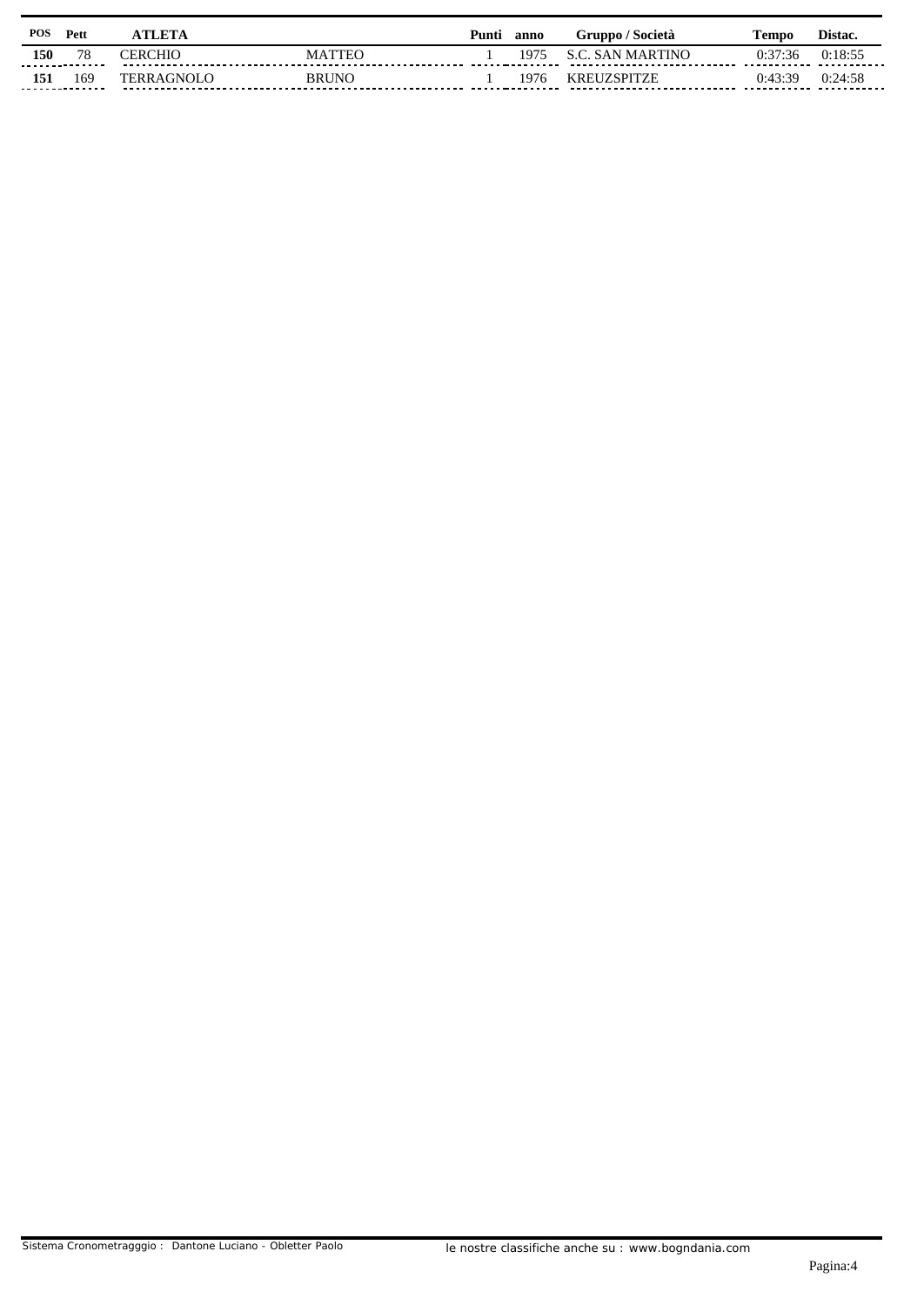| POS | Pett     | <b>TLETA</b>      |                    | Punti | anno | Gruppo / Società                                            | Fempo   | Distac.                |
|-----|----------|-------------------|--------------------|-------|------|-------------------------------------------------------------|---------|------------------------|
| 150 | 78<br>.  | CERCHIO           | <b>ATTEC</b><br>MА |       | 97ء، | <b>SAN MARTINO</b><br>------------------------------------- | 0:37:36 | 0:18:55<br>----------- |
| 151 | 169<br>. | <b>TERRAGNOLO</b> | <b>BRUNO</b>       |       | 1976 | <b>KREUZSPITZE</b>                                          | 0:43:39 | 0:24:58                |
|     |          |                   |                    |       |      |                                                             |         |                        |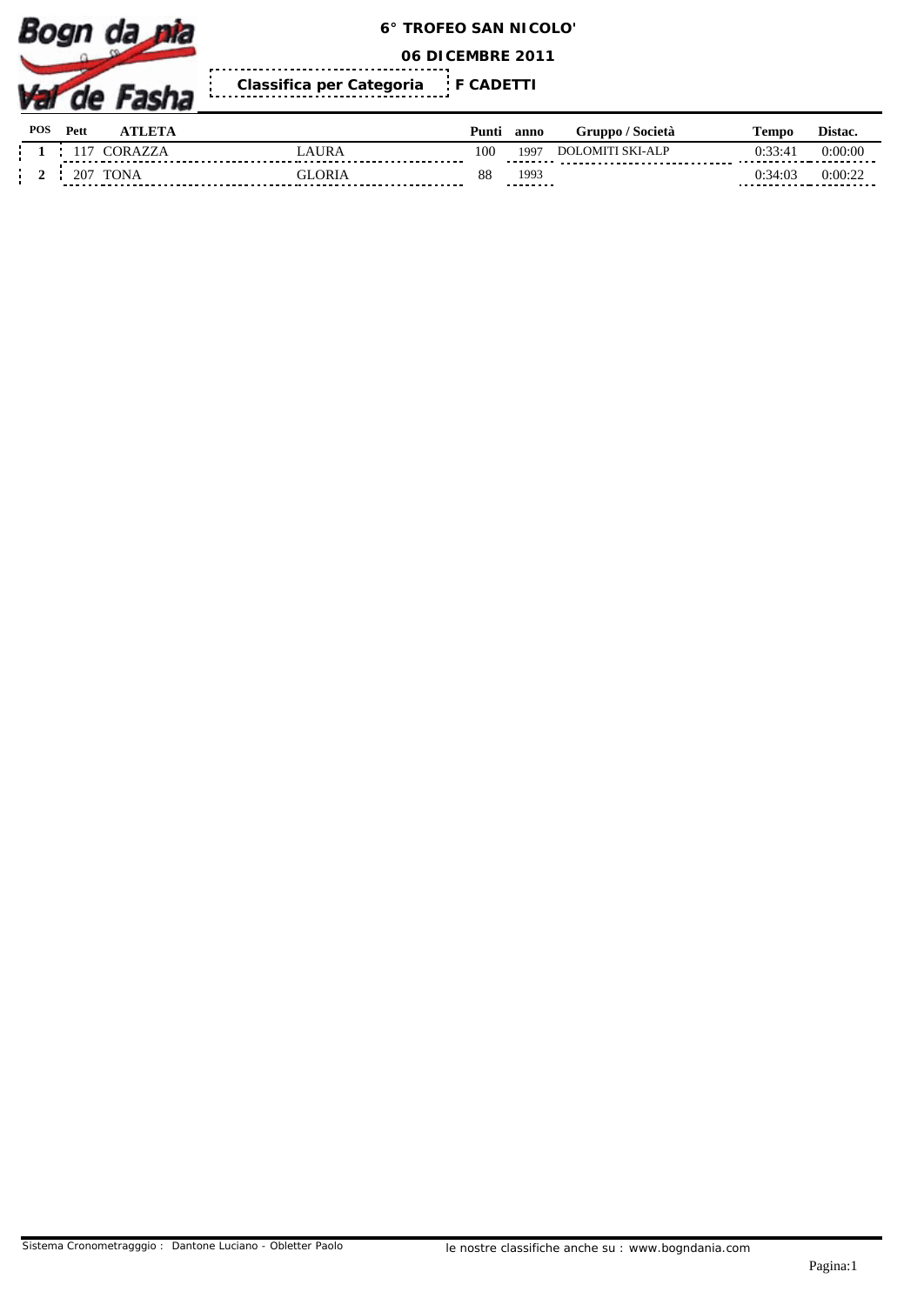

**06 DICEMBRE 2011**

 $\frac{1}{2}$ **F CADETTI Classifica per Categoria** 

| <b>POS</b> | Pett         | <b></b>     |           | Punti | anno              | Gruppo / Società        | l'empo  | Distac.     |
|------------|--------------|-------------|-----------|-------|-------------------|-------------------------|---------|-------------|
|            |              | 'OR         | AURA      | 100   | 1997              | <b>DOLOMITI SKI-ALP</b> | 0:33:41 | 0:00:00<br> |
|            | $20^{\circ}$ | <b>TONA</b> | .ORL<br>. | 88    | 1993<br>--------- |                         | 0:34:03 | 0:00:22<br> |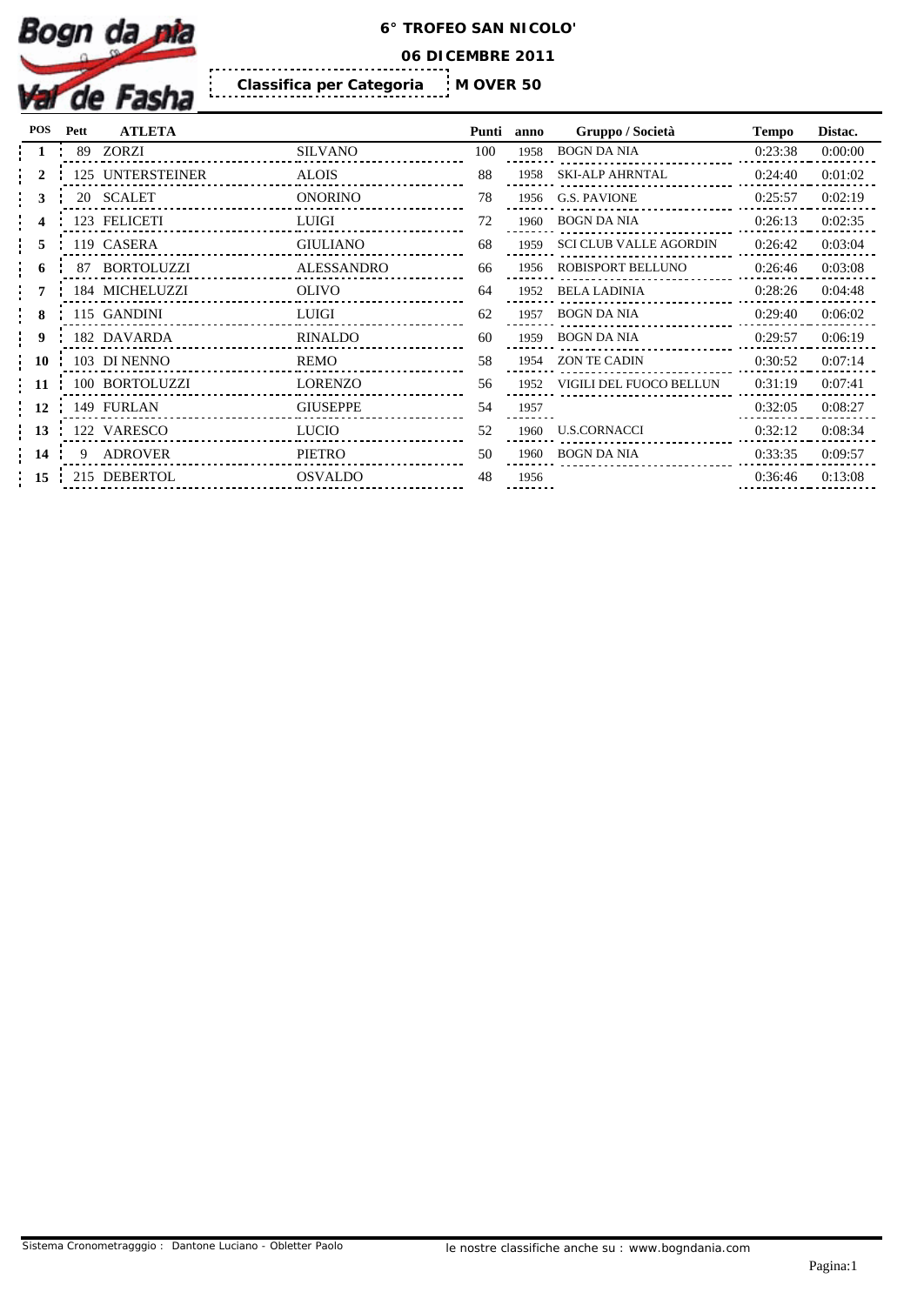

**06 DICEMBRE 2011**

İ **M OVER 50 Classifica per Categoria** 

| <b>POS</b>       | Pett | <b>ATLETA</b>    |                   | Punti | anno | Gruppo / Società             | <b>Tempo</b> | Distac. |
|------------------|------|------------------|-------------------|-------|------|------------------------------|--------------|---------|
|                  |      | 89 ZORZI         | <b>SILVANO</b>    | 100   | 1958 | <b>BOGN DA NIA</b>           | 0:23:38      | 0:00:00 |
|                  |      | 125 UNTERSTEINER | <b>ALOIS</b>      | 88    |      | 1958 SKI-ALP AHRNTAL         | 0:24:40      | 0:01:02 |
|                  |      | 20 SCALET        | <b>ONORINO</b>    | 78    |      | 1956 G.S. PAVIONE            | 0:25:57      | 0:02:19 |
|                  |      | 123 FELICETI     | LUIGI             | 72    |      | 1960 BOGN DA NIA             | 0:26:13      | 0:02:35 |
|                  |      | 119 CASERA       | <b>GIULIANO</b>   | 68    | 1959 | SCI CLUB VALLE AGORDIN       | 0:26:42      | 0:03:04 |
|                  |      | 87 BORTOLUZZI    | <b>ALESSANDRO</b> | 66    |      | 1956 ROBISPORT BELLUNO       | 0:26:46      | 0:03:08 |
|                  |      | 184 MICHELUZZI   | <b>OLIVO</b>      | 64    | 1952 | <b>BELA LADINIA</b>          | 0:28:26      | 0:04:48 |
|                  |      | 115 GANDINI      | LUIGI             | 62    | 1957 | <b>BOGN DA NIA</b>           | 0:29:40      | 0:06:02 |
|                  |      | 182 DAVARDA      | RINALDO           | 60    | 1959 | <b>BOGN DA NIA</b>           | 0:29:57      | 0:06:19 |
| $\frac{1}{2}$ 10 |      | 103 DI NENNO     | REMO              | 58    | 1954 | ZON TE CADIN                 | 0:30:52      | 0:07:14 |
| -11              |      | 100 BORTOLUZZI   | <b>LORENZO</b>    | 56    |      | 1952 VIGILI DEL FUOCO BELLUN | 0:31:19      | 0:07:41 |
| <b>12</b>        |      | 149 FURLAN       | <b>GIUSEPPE</b>   | 54    | 1957 |                              | 0:32:05      | 0:08:27 |
| $\frac{1}{2}$ 13 |      | 122 VARESCO      | LUCIO             | 52    |      | 1960 U.S.CORNACCI            | 0:32:12      | 0:08:34 |
| $\frac{14}{14}$  | 9    | <b>ADROVER</b>   | PIETRO            | 50    |      | 1960 BOGN DA NIA             | 0:33:35      | 0:09:57 |
| $\frac{1}{2}$ 15 |      | 215 DEBERTOL     | <b>OSVALDO</b>    | 48    | 1956 |                              | 0:36:46      | 0:13:08 |

| ınti            | anno | Gruppo / Società              | <b>Tempo</b> | Distac. |
|-----------------|------|-------------------------------|--------------|---------|
| $\overline{00}$ | 1958 | <b>BOGN DA NIA</b>            | 0:23:38      | 0:00:00 |
| 38              | 1958 | <b>SKI-ALP AHRNTAL</b>        | 0:24:40      | 0:01:02 |
| 78              | 1956 | G.S. PAVIONE                  | 0:25:57      | 0:02:19 |
| 72              | 1960 | <b>BOGN DA NIA</b>            | 0:26:13      | 0:02:35 |
| 58              | 1959 | <b>SCI CLUB VALLE AGORDIN</b> | 0:26:42      | 0:03:04 |
| 56              | 1956 | ROBISPORT BELLUNO             | 0:26:46      | 0:03:08 |
| 54              | 1952 | <b>BELA LADINIA</b>           | 0:28:26      | 0:04:48 |
| 52              | 1957 | <b>BOGN DA NIA</b>            | 0:29:40      | 0:06:02 |
| 50              | 1959 | <b>BOGN DA NIA</b>            | 0:29:57      | 0:06:19 |
| 58              | 1954 | <b>ZON TE CADIN</b>           | 0:30:52      | 0:07:14 |
| 56              | 1952 | VIGILI DEL FUOCO BELLUN       | 0:31:19      | 0:07:41 |
| 54              | 1957 |                               | 0:32:05      | 0:08:27 |
| 52              | 1960 | <b>U.S.CORNACCI</b>           | 0:32:12      | 0:08:34 |
| 50              | 1960 | <b>BOGN DA NIA</b>            | 0:33:35      | 0:09:57 |
| 18              | 1956 |                               | 0:36:46      | 0:13:08 |
|                 |      |                               |              |         |